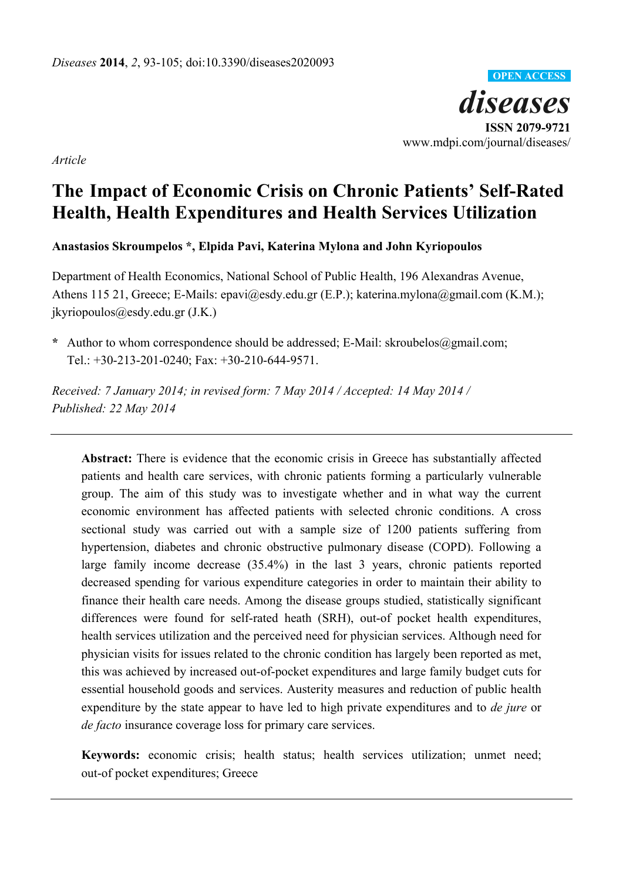*diseases*  **ISSN 2079-9721**  www.mdpi.com/journal/diseases/ **OPEN ACCESS**

*Article* 

# **The Impact of Economic Crisis on Chronic Patients' Self-Rated Health, Health Expenditures and Health Services Utilization**

**Anastasios Skroumpelos \*, Elpida Pavi, Katerina Mylona and John Kyriopoulos**

Department of Health Economics, National School of Public Health, 196 Alexandras Avenue, Athens 115 21, Greece; E-Mails: epavi@esdy.edu.gr (E.P.); katerina.mylona@gmail.com (K.M.); jkyriopoulos@esdy.edu.gr (J.K.)

**\*** Author to whom correspondence should be addressed; E-Mail: skroubelos@gmail.com; Tel.: +30-213-201-0240; Fax: +30-210-644-9571.

*Received: 7 January 2014; in revised form: 7 May 2014 / Accepted: 14 May 2014 / Published: 22 May 2014* 

**Abstract:** There is evidence that the economic crisis in Greece has substantially affected patients and health care services, with chronic patients forming a particularly vulnerable group. The aim of this study was to investigate whether and in what way the current economic environment has affected patients with selected chronic conditions. A cross sectional study was carried out with a sample size of 1200 patients suffering from hypertension, diabetes and chronic obstructive pulmonary disease (COPD). Following a large family income decrease (35.4%) in the last 3 years, chronic patients reported decreased spending for various expenditure categories in order to maintain their ability to finance their health care needs. Among the disease groups studied, statistically significant differences were found for self-rated heath (SRH), out-of pocket health expenditures, health services utilization and the perceived need for physician services. Although need for physician visits for issues related to the chronic condition has largely been reported as met, this was achieved by increased out-of-pocket expenditures and large family budget cuts for essential household goods and services. Austerity measures and reduction of public health expenditure by the state appear to have led to high private expenditures and to *de jure* or *de facto* insurance coverage loss for primary care services.

**Keywords:** economic crisis; health status; health services utilization; unmet need; out-of pocket expenditures; Greece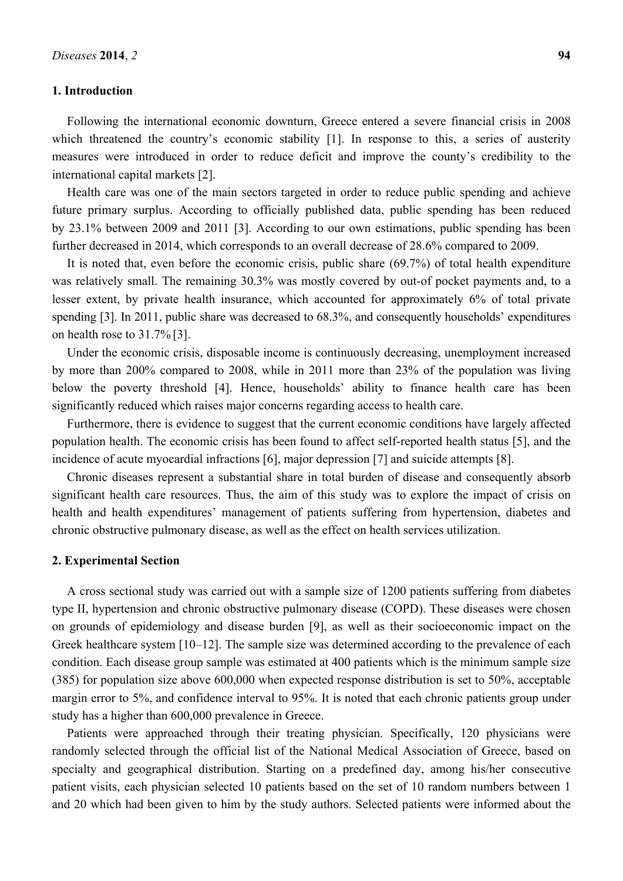#### **1. Introduction**

Following the international economic downturn, Greece entered a severe financial crisis in 2008 which threatened the country's economic stability [1]. In response to this, a series of austerity measures were introduced in order to reduce deficit and improve the county's credibility to the international capital markets [2].

Health care was one of the main sectors targeted in order to reduce public spending and achieve future primary surplus. According to officially published data, public spending has been reduced by 23.1% between 2009 and 2011 [3]. According to our own estimations, public spending has been further decreased in 2014, which corresponds to an overall decrease of 28.6% compared to 2009.

It is noted that, even before the economic crisis, public share (69.7%) of total health expenditure was relatively small. The remaining 30.3% was mostly covered by out-of pocket payments and, to a lesser extent, by private health insurance, which accounted for approximately 6% of total private spending [3]. In 2011, public share was decreased to 68.3%, and consequently households' expenditures on health rose to 31.7% [3].

Under the economic crisis, disposable income is continuously decreasing, unemployment increased by more than 200% compared to 2008, while in 2011 more than 23% of the population was living below the poverty threshold [4]. Hence, households' ability to finance health care has been significantly reduced which raises major concerns regarding access to health care.

Furthermore, there is evidence to suggest that the current economic conditions have largely affected population health. The economic crisis has been found to affect self-reported health status [5], and the incidence of acute myocardial infractions [6], major depression [7] and suicide attempts [8].

Chronic diseases represent a substantial share in total burden of disease and consequently absorb significant health care resources. Thus, the aim of this study was to explore the impact of crisis on health and health expenditures' management of patients suffering from hypertension, diabetes and chronic obstructive pulmonary disease, as well as the effect on health services utilization.

#### **2. Experimental Section**

A cross sectional study was carried out with a sample size of 1200 patients suffering from diabetes type II, hypertension and chronic obstructive pulmonary disease (COPD). These diseases were chosen on grounds of epidemiology and disease burden [9], as well as their socioeconomic impact on the Greek healthcare system [10–12]. The sample size was determined according to the prevalence of each condition. Each disease group sample was estimated at 400 patients which is the minimum sample size (385) for population size above 600,000 when expected response distribution is set to 50%, acceptable margin error to 5%, and confidence interval to 95%. It is noted that each chronic patients group under study has a higher than 600,000 prevalence in Greece.

Patients were approached through their treating physician. Specifically, 120 physicians were randomly selected through the official list of the National Medical Association of Greece, based on specialty and geographical distribution. Starting on a predefined day, among his/her consecutive patient visits, each physician selected 10 patients based on the set of 10 random numbers between 1 and 20 which had been given to him by the study authors. Selected patients were informed about the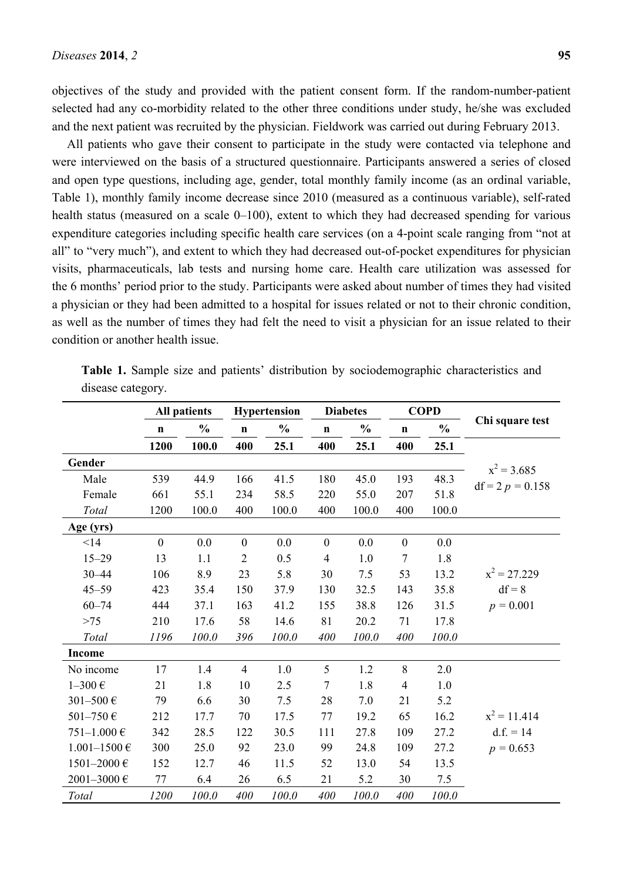objectives of the study and provided with the patient consent form. If the random-number-patient selected had any co-morbidity related to the other three conditions under study, he/she was excluded and the next patient was recruited by the physician. Fieldwork was carried out during February 2013.

All patients who gave their consent to participate in the study were contacted via telephone and were interviewed on the basis of a structured questionnaire. Participants answered a series of closed and open type questions, including age, gender, total monthly family income (as an ordinal variable, Table 1), monthly family income decrease since 2010 (measured as a continuous variable), self-rated health status (measured on a scale 0–100), extent to which they had decreased spending for various expenditure categories including specific health care services (on a 4-point scale ranging from "not at all" to "very much"), and extent to which they had decreased out-of-pocket expenditures for physician visits, pharmaceuticals, lab tests and nursing home care. Health care utilization was assessed for the 6 months' period prior to the study. Participants were asked about number of times they had visited a physician or they had been admitted to a hospital for issues related or not to their chronic condition, as well as the number of times they had felt the need to visit a physician for an issue related to their condition or another health issue.

|                    | All patients     |               |                  | Hypertension  |                  | <b>Diabetes</b> |                  | <b>COPD</b>   |                    |  |
|--------------------|------------------|---------------|------------------|---------------|------------------|-----------------|------------------|---------------|--------------------|--|
|                    | $\mathbf n$      | $\frac{0}{0}$ | $\mathbf n$      | $\frac{0}{0}$ | $\mathbf n$      | $\frac{0}{0}$   | $\mathbf n$      | $\frac{0}{0}$ | Chi square test    |  |
|                    | 1200             | 100.0         | 400              | 25.1          | 400              | 25.1            | 400              | 25.1          |                    |  |
| Gender             |                  |               |                  |               |                  |                 |                  |               | $x^2 = 3.685$      |  |
| Male               | 539              | 44.9          | 166              | 41.5          | 180              | 45.0            | 193              | 48.3          | $df = 2 p = 0.158$ |  |
| Female             | 661              | 55.1          | 234              | 58.5          | 220              | 55.0            | 207              | 51.8          |                    |  |
| Total              | 1200             | 100.0         | 400              | 100.0         | 400              | 100.0           | 400              | 100.0         |                    |  |
| Age (yrs)          |                  |               |                  |               |                  |                 |                  |               |                    |  |
| <14                | $\boldsymbol{0}$ | 0.0           | $\boldsymbol{0}$ | 0.0           | $\boldsymbol{0}$ | 0.0             | $\boldsymbol{0}$ | 0.0           |                    |  |
| $15 - 29$          | 13               | 1.1           | $\overline{2}$   | 0.5           | $\overline{4}$   | 1.0             | $\overline{7}$   | 1.8           |                    |  |
| $30 - 44$          | 106              | 8.9           | 23               | 5.8           | 30               | 7.5             | 53               | 13.2          | $x^2 = 27.229$     |  |
| $45 - 59$          | 423              | 35.4          | 150              | 37.9          | 130              | 32.5            | 143              | 35.8          | $df = 8$           |  |
| $60 - 74$          | 444              | 37.1          | 163              | 41.2          | 155              | 38.8            | 126              | 31.5          | $p = 0.001$        |  |
| $>75$              | 210              | 17.6          | 58               | 14.6          | 81               | 20.2            | 71               | 17.8          |                    |  |
| Total              | 1196             | 100.0         | 396              | 100.0         | 400              | 100.0           | 400              | 100.0         |                    |  |
| <b>Income</b>      |                  |               |                  |               |                  |                 |                  |               |                    |  |
| No income          | 17               | 1.4           | $\overline{4}$   | 1.0           | 5                | 1.2             | 8                | 2.0           |                    |  |
| $1 - 300 \in$      | 21               | 1.8           | 10               | 2.5           | $\tau$           | 1.8             | $\overline{4}$   | 1.0           |                    |  |
| 301-500€           | 79               | 6.6           | 30               | 7.5           | 28               | 7.0             | 21               | 5.2           |                    |  |
| 501-750€           | 212              | 17.7          | 70               | 17.5          | 77               | 19.2            | 65               | 16.2          | $x^2 = 11.414$     |  |
| 751-1.000€         | 342              | 28.5          | 122              | 30.5          | 111              | 27.8            | 109              | 27.2          | $d.f. = 14$        |  |
| $1.001 - 1500 \in$ | 300              | 25.0          | 92               | 23.0          | 99               | 24.8            | 109              | 27.2          | $p = 0.653$        |  |
| 1501-2000€         | 152              | 12.7          | 46               | 11.5          | 52               | 13.0            | 54               | 13.5          |                    |  |
| 2001-3000€         | 77               | 6.4           | 26               | 6.5           | 21               | 5.2             | 30               | 7.5           |                    |  |
| Total              | 1200             | 100.0         | 400              | 100.0         | 400              | 100.0           | 400              | 100.0         |                    |  |

**Table 1.** Sample size and patients' distribution by sociodemographic characteristics and disease category.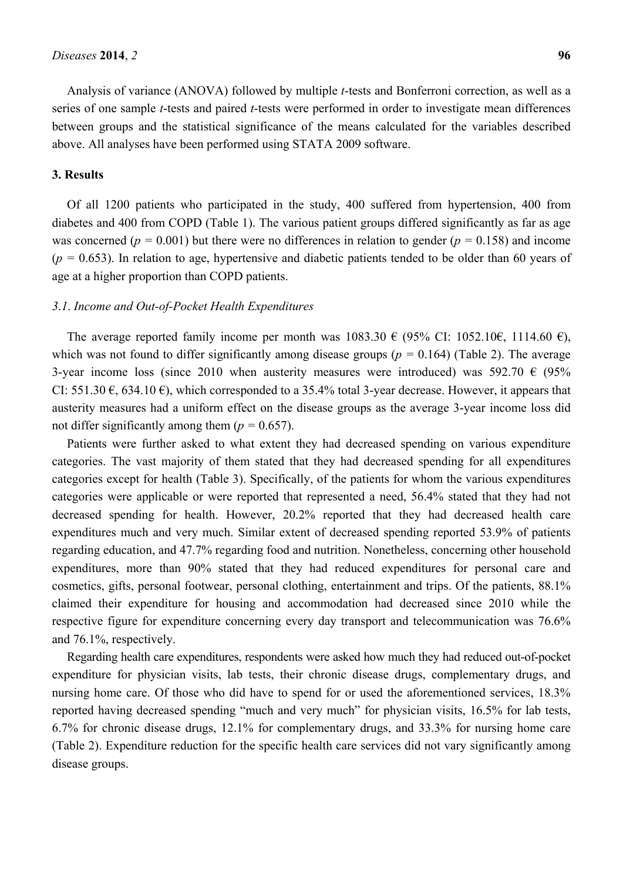Analysis of variance (ANOVA) followed by multiple *t*-tests and Bonferroni correction, as well as a series of one sample *t*-tests and paired *t*-tests were performed in order to investigate mean differences between groups and the statistical significance of the means calculated for the variables described above. All analyses have been performed using STATA 2009 software.

#### **3. Results**

Of all 1200 patients who participated in the study, 400 suffered from hypertension, 400 from diabetes and 400 from COPD (Table 1). The various patient groups differed significantly as far as age was concerned ( $p = 0.001$ ) but there were no differences in relation to gender ( $p = 0.158$ ) and income  $(p = 0.653)$ . In relation to age, hypertensive and diabetic patients tended to be older than 60 years of age at a higher proportion than COPD patients.

# *3*.*1*. *Income and Out-of-Pocket Health Expenditures*

The average reported family income per month was  $1083.30 \in (95\% \text{ CI: } 1052.10\epsilon, 1114.60 \epsilon)$ , which was not found to differ significantly among disease groups ( $p = 0.164$ ) (Table 2). The average 3-year income loss (since 2010 when austerity measures were introduced) was 592.70  $\epsilon$  (95% CI: 551.30  $\epsilon$ , 634.10  $\epsilon$ ), which corresponded to a 35.4% total 3-year decrease. However, it appears that austerity measures had a uniform effect on the disease groups as the average 3-year income loss did not differ significantly among them  $(p = 0.657)$ .

Patients were further asked to what extent they had decreased spending on various expenditure categories. The vast majority of them stated that they had decreased spending for all expenditures categories except for health (Table 3). Specifically, of the patients for whom the various expenditures categories were applicable or were reported that represented a need, 56.4% stated that they had not decreased spending for health. However, 20.2% reported that they had decreased health care expenditures much and very much. Similar extent of decreased spending reported 53.9% of patients regarding education, and 47.7% regarding food and nutrition. Nonetheless, concerning other household expenditures, more than 90% stated that they had reduced expenditures for personal care and cosmetics, gifts, personal footwear, personal clothing, entertainment and trips. Of the patients, 88.1% claimed their expenditure for housing and accommodation had decreased since 2010 while the respective figure for expenditure concerning every day transport and telecommunication was 76.6% and 76.1%, respectively.

Regarding health care expenditures, respondents were asked how much they had reduced out-of-pocket expenditure for physician visits, lab tests, their chronic disease drugs, complementary drugs, and nursing home care. Of those who did have to spend for or used the aforementioned services, 18.3% reported having decreased spending "much and very much" for physician visits, 16.5% for lab tests, 6.7% for chronic disease drugs, 12.1% for complementary drugs, and 33.3% for nursing home care (Table 2). Expenditure reduction for the specific health care services did not vary significantly among disease groups.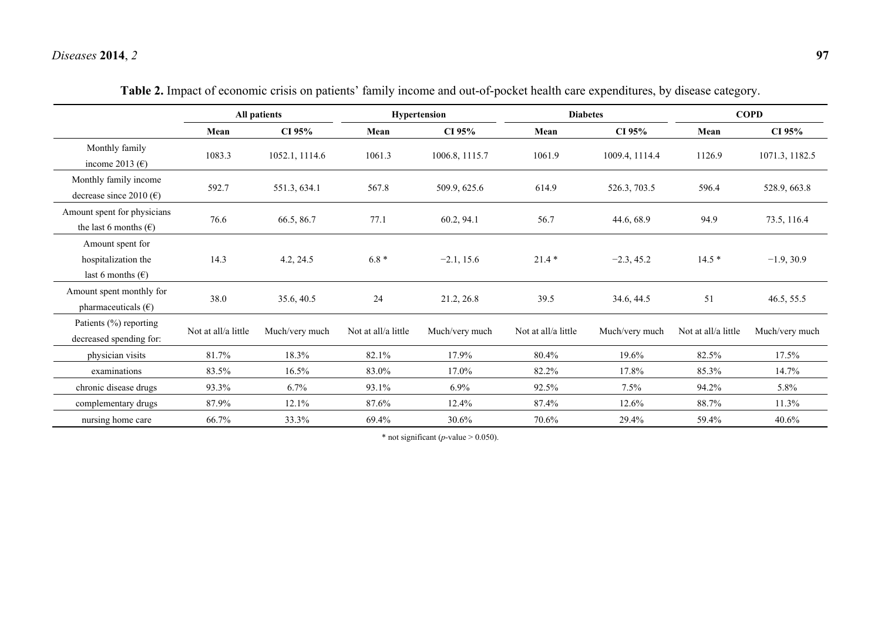# *Diseases* **2014**, *2* **97**

|                                                                       | All patients        |                |                     | <b>Hypertension</b> | <b>Diabetes</b>     |                | <b>COPD</b>         |                |  |
|-----------------------------------------------------------------------|---------------------|----------------|---------------------|---------------------|---------------------|----------------|---------------------|----------------|--|
|                                                                       | Mean                | CI 95%         | Mean                | CI 95%              | Mean                | CI 95%         | Mean                | CI 95%         |  |
| Monthly family<br>income 2013 ( $\epsilon$ )                          | 1083.3              | 1052.1, 1114.6 | 1061.3              | 1006.8, 1115.7      | 1061.9              | 1009.4, 1114.4 | 1126.9              | 1071.3, 1182.5 |  |
| Monthly family income<br>decrease since 2010 ( $\epsilon$ )           | 592.7               | 551.3, 634.1   | 567.8               | 509.9, 625.6        | 614.9               | 526.3, 703.5   | 596.4               | 528.9, 663.8   |  |
| Amount spent for physicians<br>the last 6 months $(\epsilon)$         | 76.6                | 66.5, 86.7     | 77.1                | 60.2, 94.1          | 56.7                | 44.6, 68.9     | 94.9                | 73.5, 116.4    |  |
| Amount spent for<br>hospitalization the<br>last 6 months $(\epsilon)$ | 14.3                | 4.2, 24.5      | $6.8 *$             | $-2.1, 15.6$        | $21.4*$             | $-2.3, 45.2$   | $14.5*$             | $-1.9, 30.9$   |  |
| Amount spent monthly for<br>pharmaceuticals $(\epsilon)$              | 38.0                | 35.6, 40.5     | 24                  | 21.2, 26.8          | 39.5                | 34.6, 44.5     | 51                  | 46.5, 55.5     |  |
| Patients (%) reporting<br>decreased spending for:                     | Not at all/a little | Much/very much | Not at all/a little | Much/very much      | Not at all/a little | Much/very much | Not at all/a little | Much/very much |  |
| physician visits                                                      | 81.7%               | 18.3%          | 82.1%               | 17.9%               | 80.4%               | 19.6%          | 82.5%               | 17.5%          |  |
| examinations                                                          | 83.5%               | 16.5%          | 83.0%               | 17.0%               | 82.2%               | 17.8%          | 85.3%               | 14.7%          |  |
| chronic disease drugs                                                 | 93.3%               | 6.7%           | 93.1%               | 6.9%                | 92.5%               | 7.5%           | 94.2%               | 5.8%           |  |
| complementary drugs                                                   | 87.9%               | 12.1%          | 87.6%               | 12.4%               | 87.4%               | 12.6%          | 88.7%               | 11.3%          |  |
| nursing home care                                                     | 66.7%               | 33.3%          | 69.4%               | 30.6%               | 70.6%               | 29.4%          | 59.4%               | 40.6%          |  |

| Table 2. Impact of economic crisis on patients' family income and out-of-pocket health care expenditures, by disease category. |  |  |
|--------------------------------------------------------------------------------------------------------------------------------|--|--|
|--------------------------------------------------------------------------------------------------------------------------------|--|--|

\* not significant ( $p$ -value > 0.050).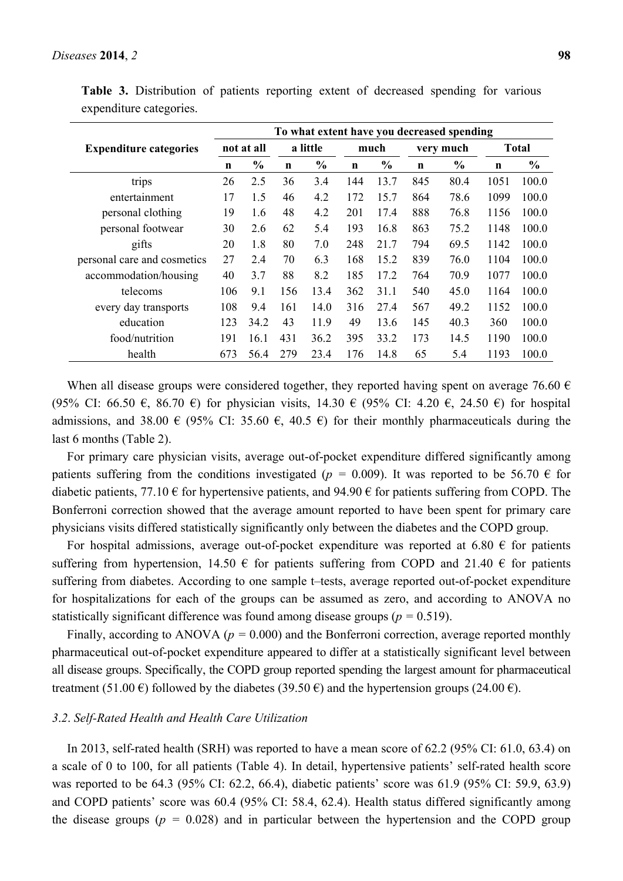|                               | To what extent have you decreased spending |               |             |               |             |               |             |               |              |               |  |
|-------------------------------|--------------------------------------------|---------------|-------------|---------------|-------------|---------------|-------------|---------------|--------------|---------------|--|
| <b>Expenditure categories</b> | not at all                                 |               | a little    |               | much        |               | very much   |               | <b>Total</b> |               |  |
|                               | $\mathbf n$                                | $\frac{0}{0}$ | $\mathbf n$ | $\frac{0}{0}$ | $\mathbf n$ | $\frac{0}{0}$ | $\mathbf n$ | $\frac{0}{0}$ | $\mathbf n$  | $\frac{0}{0}$ |  |
| trips                         | 26                                         | 2.5           | 36          | 3.4           | 144         | 13.7          | 845         | 80.4          | 1051         | 100.0         |  |
| entertainment                 | 17                                         | 1.5           | 46          | 4.2           | 172         | 15.7          | 864         | 78.6          | 1099         | 100.0         |  |
| personal clothing             | 19                                         | 1.6           | 48          | 4.2           | 201         | 17.4          | 888         | 76.8          | 1156         | 100.0         |  |
| personal footwear             | 30                                         | 2.6           | 62          | 5.4           | 193         | 16.8          | 863         | 75.2          | 1148         | 100.0         |  |
| gifts                         | 20                                         | 1.8           | 80          | 7.0           | 248         | 21.7          | 794         | 69.5          | 1142         | 100.0         |  |
| personal care and cosmetics   | 27                                         | 2.4           | 70          | 6.3           | 168         | 15.2          | 839         | 76.0          | 1104         | 100.0         |  |
| accommodation/housing         | 40                                         | 3.7           | 88          | 8.2           | 185         | 17.2          | 764         | 70.9          | 1077         | 100.0         |  |
| telecoms                      | 106                                        | 9.1           | 156         | 13.4          | 362         | 31.1          | 540         | 45.0          | 1164         | 100.0         |  |
| every day transports          | 108                                        | 9.4           | 161         | 14.0          | 316         | 27.4          | 567         | 49.2          | 1152         | 100.0         |  |
| education                     | 123                                        | 34.2          | 43          | 11.9          | 49          | 13.6          | 145         | 40.3          | 360          | 100.0         |  |
| food/nutrition                | 191                                        | 16.1          | 431         | 36.2          | 395         | 33.2          | 173         | 14.5          | 1190         | 100.0         |  |
| health                        | 673                                        | 56.4          | 279         | 23.4          | 176         | 14.8          | 65          | 5.4           | 1193         | 100.0         |  |

**Table 3.** Distribution of patients reporting extent of decreased spending for various expenditure categories.

When all disease groups were considered together, they reported having spent on average 76.60  $\epsilon$ (95% CI: 66.50 €, 86.70 €) for physician visits, 14.30 € (95% CI: 4.20 €, 24.50 €) for hospital admissions, and 38.00 € (95% CI: 35.60 €, 40.5 €) for their monthly pharmaceuticals during the last 6 months (Table 2).

For primary care physician visits, average out-of-pocket expenditure differed significantly among patients suffering from the conditions investigated ( $p = 0.009$ ). It was reported to be 56.70  $\epsilon$  for diabetic patients, 77.10  $\epsilon$  for hypertensive patients, and 94.90  $\epsilon$  for patients suffering from COPD. The Bonferroni correction showed that the average amount reported to have been spent for primary care physicians visits differed statistically significantly only between the diabetes and the COPD group.

For hospital admissions, average out-of-pocket expenditure was reported at 6.80  $\epsilon$  for patients suffering from hypertension, 14.50  $\epsilon$  for patients suffering from COPD and 21.40  $\epsilon$  for patients suffering from diabetes. According to one sample t–tests, average reported out-of-pocket expenditure for hospitalizations for each of the groups can be assumed as zero, and according to ANOVA no statistically significant difference was found among disease groups (*p =* 0.519).

Finally, according to ANOVA (*p =* 0.000) and the Bonferroni correction, average reported monthly pharmaceutical out-of-pocket expenditure appeared to differ at a statistically significant level between all disease groups. Specifically, the COPD group reported spending the largest amount for pharmaceutical treatment (51.00 €) followed by the diabetes (39.50 €) and the hypertension groups (24.00 €).

# *3*.*2*. *Self-Rated Health and Health Care Utilization*

In 2013, self-rated health (SRH) was reported to have a mean score of 62.2 (95% CI: 61.0, 63.4) on a scale of 0 to 100, for all patients (Table 4). In detail, hypertensive patients' self-rated health score was reported to be 64.3 (95% CI: 62.2, 66.4), diabetic patients' score was 61.9 (95% CI: 59.9, 63.9) and COPD patients' score was 60.4 (95% CI: 58.4, 62.4). Health status differed significantly among the disease groups ( $p = 0.028$ ) and in particular between the hypertension and the COPD group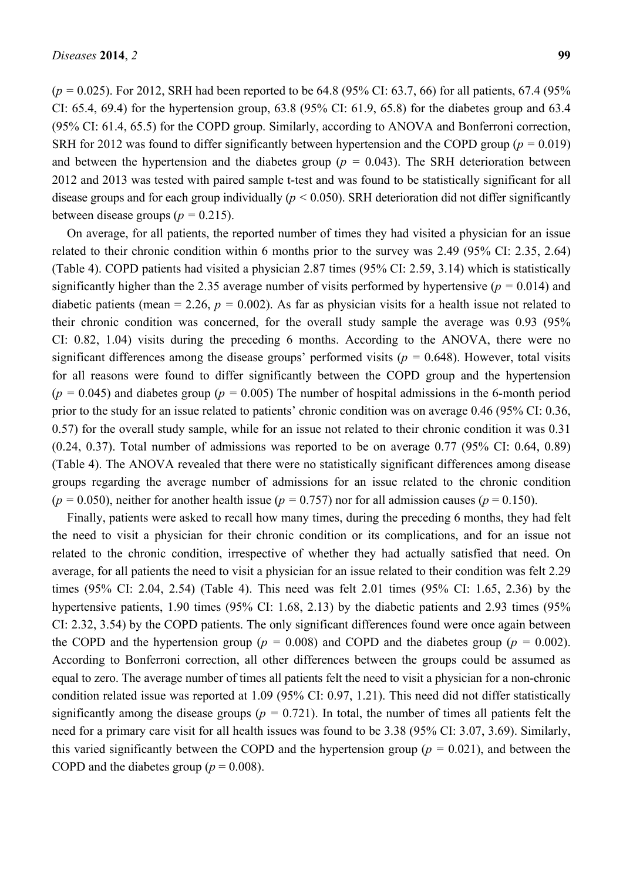(*p =* 0.025). For 2012, SRH had been reported to be 64.8 (95% CI: 63.7, 66) for all patients, 67.4 (95% CI: 65.4, 69.4) for the hypertension group, 63.8 (95% CI: 61.9, 65.8) for the diabetes group and 63.4 (95% CI: 61.4, 65.5) for the COPD group. Similarly, according to ANOVA and Bonferroni correction, SRH for 2012 was found to differ significantly between hypertension and the COPD group (*p =* 0.019) and between the hypertension and the diabetes group (*p =* 0.043). The SRH deterioration between 2012 and 2013 was tested with paired sample t-test and was found to be statistically significant for all disease groups and for each group individually (*p <* 0.050). SRH deterioration did not differ significantly between disease groups ( $p = 0.215$ ).

On average, for all patients, the reported number of times they had visited a physician for an issue related to their chronic condition within 6 months prior to the survey was 2.49 (95% CI: 2.35, 2.64) (Table 4). COPD patients had visited a physician 2.87 times (95% CI: 2.59, 3.14) which is statistically significantly higher than the 2.35 average number of visits performed by hypertensive (*p =* 0.014) and diabetic patients (mean = 2.26,  $p = 0.002$ ). As far as physician visits for a health issue not related to their chronic condition was concerned, for the overall study sample the average was 0.93 (95% CI: 0.82, 1.04) visits during the preceding 6 months. According to the ANOVA, there were no significant differences among the disease groups' performed visits (*p =* 0.648). However, total visits for all reasons were found to differ significantly between the COPD group and the hypertension  $(p = 0.045)$  and diabetes group ( $p = 0.005$ ) The number of hospital admissions in the 6-month period prior to the study for an issue related to patients' chronic condition was on average 0.46 (95% CI: 0.36, 0.57) for the overall study sample, while for an issue not related to their chronic condition it was 0.31 (0.24, 0.37). Total number of admissions was reported to be on average 0.77 (95% CI: 0.64, 0.89) (Table 4). The ANOVA revealed that there were no statistically significant differences among disease groups regarding the average number of admissions for an issue related to the chronic condition  $(p = 0.050)$ , neither for another health issue  $(p = 0.757)$  nor for all admission causes  $(p = 0.150)$ .

Finally, patients were asked to recall how many times, during the preceding 6 months, they had felt the need to visit a physician for their chronic condition or its complications, and for an issue not related to the chronic condition, irrespective of whether they had actually satisfied that need. On average, for all patients the need to visit a physician for an issue related to their condition was felt 2.29 times (95% CI: 2.04, 2.54) (Table 4). This need was felt 2.01 times (95% CI: 1.65, 2.36) by the hypertensive patients, 1.90 times (95% CI: 1.68, 2.13) by the diabetic patients and 2.93 times (95% CI: 2.32, 3.54) by the COPD patients. The only significant differences found were once again between the COPD and the hypertension group ( $p = 0.008$ ) and COPD and the diabetes group ( $p = 0.002$ ). According to Bonferroni correction, all other differences between the groups could be assumed as equal to zero. The average number of times all patients felt the need to visit a physician for a non-chronic condition related issue was reported at 1.09 (95% CI: 0.97, 1.21). This need did not differ statistically significantly among the disease groups ( $p = 0.721$ ). In total, the number of times all patients felt the need for a primary care visit for all health issues was found to be 3.38 (95% CI: 3.07, 3.69). Similarly, this varied significantly between the COPD and the hypertension group (*p =* 0.021), and between the COPD and the diabetes group ( $p = 0.008$ ).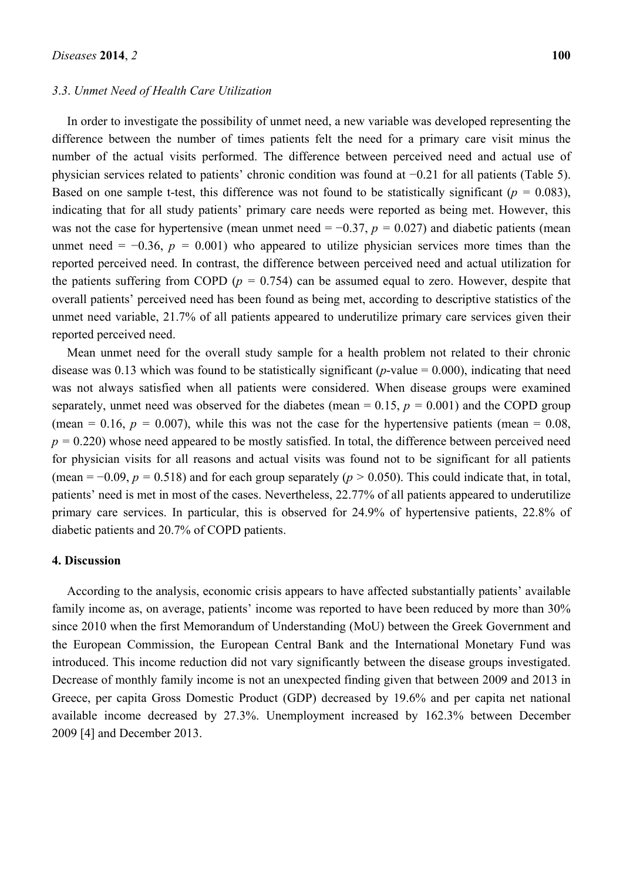#### *3*.*3*. *Unmet Need of Health Care Utilization*

In order to investigate the possibility of unmet need, a new variable was developed representing the difference between the number of times patients felt the need for a primary care visit minus the number of the actual visits performed. The difference between perceived need and actual use of physician services related to patients' chronic condition was found at −0.21 for all patients (Table 5). Based on one sample t-test, this difference was not found to be statistically significant ( $p = 0.083$ ), indicating that for all study patients' primary care needs were reported as being met. However, this was not the case for hypertensive (mean unmet need  $= -0.37$ ,  $p = 0.027$ ) and diabetic patients (mean unmet need =  $-0.36$ ,  $p = 0.001$ ) who appeared to utilize physician services more times than the reported perceived need. In contrast, the difference between perceived need and actual utilization for the patients suffering from COPD ( $p = 0.754$ ) can be assumed equal to zero. However, despite that overall patients' perceived need has been found as being met, according to descriptive statistics of the unmet need variable, 21.7% of all patients appeared to underutilize primary care services given their reported perceived need.

Mean unmet need for the overall study sample for a health problem not related to their chronic disease was 0.13 which was found to be statistically significant ( $p$ -value = 0.000), indicating that need was not always satisfied when all patients were considered. When disease groups were examined separately, unmet need was observed for the diabetes (mean  $= 0.15$ ,  $p = 0.001$ ) and the COPD group (mean =  $0.16$ ,  $p = 0.007$ ), while this was not the case for the hypertensive patients (mean =  $0.08$ ,  $p = 0.220$ ) whose need appeared to be mostly satisfied. In total, the difference between perceived need for physician visits for all reasons and actual visits was found not to be significant for all patients (mean =  $-0.09$ ,  $p = 0.518$ ) and for each group separately ( $p > 0.050$ ). This could indicate that, in total, patients' need is met in most of the cases. Nevertheless, 22.77% of all patients appeared to underutilize primary care services. In particular, this is observed for 24.9% of hypertensive patients, 22.8% of diabetic patients and 20.7% of COPD patients.

#### **4. Discussion**

According to the analysis, economic crisis appears to have affected substantially patients' available family income as, on average, patients' income was reported to have been reduced by more than 30% since 2010 when the first Memorandum of Understanding (MoU) between the Greek Government and the European Commission, the European Central Bank and the International Monetary Fund was introduced. This income reduction did not vary significantly between the disease groups investigated. Decrease of monthly family income is not an unexpected finding given that between 2009 and 2013 in Greece, per capita Gross Domestic Product (GDP) decreased by 19.6% and per capita net national available income decreased by 27.3%. Unemployment increased by 162.3% between December 2009 [4] and December 2013.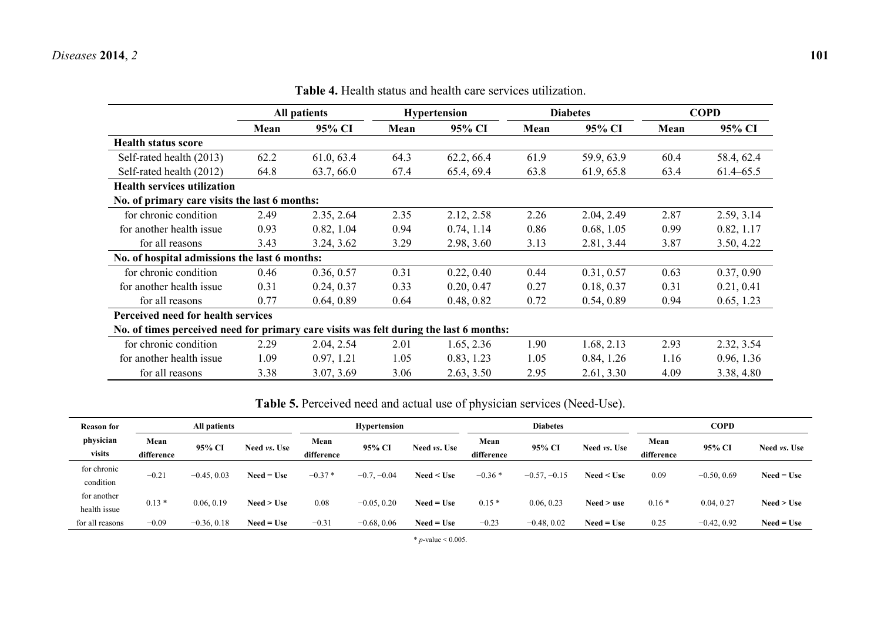|                                                                                        | <b>All patients</b> |            |      | <b>Hypertension</b> |      | <b>Diabetes</b> | <b>COPD</b> |               |  |
|----------------------------------------------------------------------------------------|---------------------|------------|------|---------------------|------|-----------------|-------------|---------------|--|
|                                                                                        | Mean                | 95% CI     | Mean | 95% CI              | Mean | 95% CI          | Mean        | 95% CI        |  |
| <b>Health status score</b>                                                             |                     |            |      |                     |      |                 |             |               |  |
| Self-rated health (2013)                                                               | 62.2                | 61.0, 63.4 | 64.3 | 62.2, 66.4          | 61.9 | 59.9, 63.9      | 60.4        | 58.4, 62.4    |  |
| Self-rated health (2012)                                                               | 64.8                | 63.7, 66.0 | 67.4 | 65.4, 69.4          | 63.8 | 61.9, 65.8      | 63.4        | $61.4 - 65.5$ |  |
| <b>Health services utilization</b>                                                     |                     |            |      |                     |      |                 |             |               |  |
| No. of primary care visits the last 6 months:                                          |                     |            |      |                     |      |                 |             |               |  |
| for chronic condition                                                                  | 2.49                | 2.35, 2.64 | 2.35 | 2.12, 2.58          | 2.26 | 2.04, 2.49      | 2.87        | 2.59, 3.14    |  |
| for another health issue                                                               | 0.93                | 0.82, 1.04 | 0.94 | 0.74, 1.14          | 0.86 | 0.68, 1.05      | 0.99        | 0.82, 1.17    |  |
| for all reasons                                                                        | 3.43                | 3.24, 3.62 | 3.29 | 2.98, 3.60          | 3.13 | 2.81, 3.44      | 3.87        | 3.50, 4.22    |  |
| No. of hospital admissions the last 6 months:                                          |                     |            |      |                     |      |                 |             |               |  |
| for chronic condition                                                                  | 0.46                | 0.36, 0.57 | 0.31 | 0.22, 0.40          | 0.44 | 0.31, 0.57      | 0.63        | 0.37, 0.90    |  |
| for another health issue                                                               | 0.31                | 0.24, 0.37 | 0.33 | 0.20, 0.47          | 0.27 | 0.18, 0.37      | 0.31        | 0.21, 0.41    |  |
| for all reasons                                                                        | 0.77                | 0.64, 0.89 | 0.64 | 0.48, 0.82          | 0.72 | 0.54, 0.89      | 0.94        | 0.65, 1.23    |  |
| Perceived need for health services                                                     |                     |            |      |                     |      |                 |             |               |  |
| No. of times perceived need for primary care visits was felt during the last 6 months: |                     |            |      |                     |      |                 |             |               |  |
| for chronic condition                                                                  | 2.29                | 2.04, 2.54 | 2.01 | 1.65, 2.36          | 1.90 | 1.68, 2.13      | 2.93        | 2.32, 3.54    |  |
| for another health issue                                                               | 1.09                | 0.97, 1.21 | 1.05 | 0.83, 1.23          | 1.05 | 0.84, 1.26      | 1.16        | 0.96, 1.36    |  |
| for all reasons                                                                        | 3.38                | 3.07, 3.69 | 3.06 | 2.63, 3.50          | 2.95 | 2.61, 3.30      | 4.09        | 3.38, 4.80    |  |

**Table 4.** Health status and health care services utilization.

**Table 5.** Perceived need and actual use of physician services (Need-Use).

| All patients<br><b>Reason for</b> |                    |               | <b>Hypertension</b> |                    |               |              | <b>Diabetes</b>    |                | <b>COPD</b>  |                    |               |              |
|-----------------------------------|--------------------|---------------|---------------------|--------------------|---------------|--------------|--------------------|----------------|--------------|--------------------|---------------|--------------|
| physician<br>visits               | Mean<br>difference | 95% CI        | Need vs. Use        | Mean<br>difference | 95% CI        | Need vs. Use | Mean<br>difference | 95% CI         | Need vs. Use | Mean<br>difference | 95% CI        | Need vs. Use |
| for chronic<br>condition          | $-0.21$            | $-0.45, 0.03$ | $Need = Use$        | $-0.37*$           | $-0.7, -0.04$ | Need < Use   | $-0.36*$           | $-0.57, -0.15$ | Need < Use   | 0.09               | $-0.50, 0.69$ | $Need = Use$ |
| for another<br>health issue       | $0.13*$            | 0.06, 0.19    | Need > Use          | 0.08               | $-0.05, 0.20$ | $Need = Use$ | $0.15*$            | 0.06, 0.23     | Need > use   | $0.16*$            | 0.04, 0.27    | Need > Use   |
| for all reasons                   | $-0.09$            | $-0.36, 0.18$ | $Need = Use$        | $-0.31$            | $-0.68, 0.06$ | $Need = Use$ | $-0.23$            | $-0.48, 0.02$  | $Need = Use$ | 0.25               | $-0.42, 0.92$ | $Need = Use$ |

\* *p*-value < 0.005.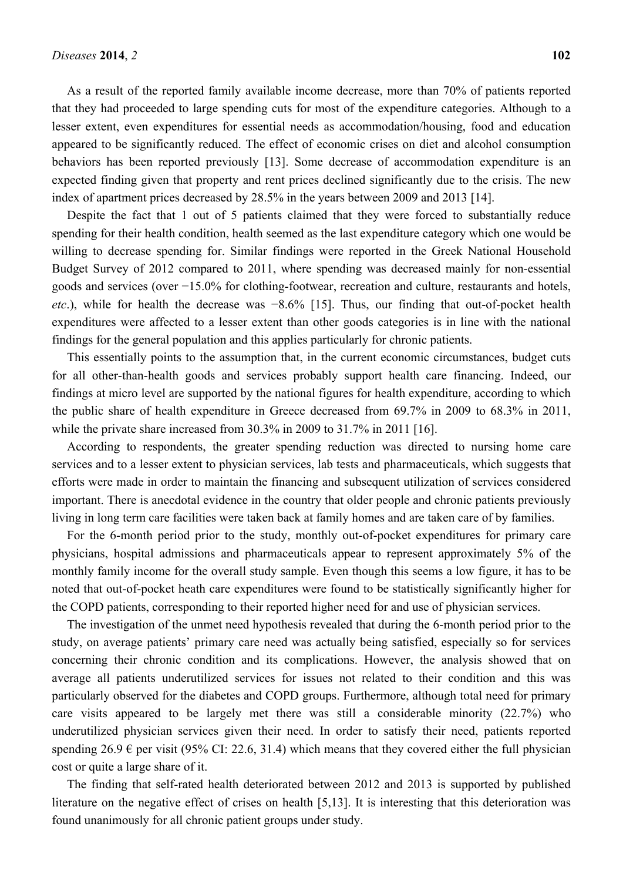As a result of the reported family available income decrease, more than 70% of patients reported that they had proceeded to large spending cuts for most of the expenditure categories. Although to a lesser extent, even expenditures for essential needs as accommodation/housing, food and education appeared to be significantly reduced. The effect of economic crises on diet and alcohol consumption behaviors has been reported previously [13]. Some decrease of accommodation expenditure is an expected finding given that property and rent prices declined significantly due to the crisis. The new index of apartment prices decreased by 28.5% in the years between 2009 and 2013 [14].

Despite the fact that 1 out of 5 patients claimed that they were forced to substantially reduce spending for their health condition, health seemed as the last expenditure category which one would be willing to decrease spending for. Similar findings were reported in the Greek National Household Budget Survey of 2012 compared to 2011, where spending was decreased mainly for non-essential goods and services (over −15.0% for clothing-footwear, recreation and culture, restaurants and hotels, *etc*.), while for health the decrease was −8.6% [15]. Thus, our finding that out-of-pocket health expenditures were affected to a lesser extent than other goods categories is in line with the national findings for the general population and this applies particularly for chronic patients.

This essentially points to the assumption that, in the current economic circumstances, budget cuts for all other-than-health goods and services probably support health care financing. Indeed, our findings at micro level are supported by the national figures for health expenditure, according to which the public share of health expenditure in Greece decreased from 69.7% in 2009 to 68.3% in 2011, while the private share increased from 30.3% in 2009 to 31.7% in 2011 [16].

According to respondents, the greater spending reduction was directed to nursing home care services and to a lesser extent to physician services, lab tests and pharmaceuticals, which suggests that efforts were made in order to maintain the financing and subsequent utilization of services considered important. There is anecdotal evidence in the country that older people and chronic patients previously living in long term care facilities were taken back at family homes and are taken care of by families.

For the 6-month period prior to the study, monthly out-of-pocket expenditures for primary care physicians, hospital admissions and pharmaceuticals appear to represent approximately 5% of the monthly family income for the overall study sample. Even though this seems a low figure, it has to be noted that out-of-pocket heath care expenditures were found to be statistically significantly higher for the COPD patients, corresponding to their reported higher need for and use of physician services.

The investigation of the unmet need hypothesis revealed that during the 6-month period prior to the study, on average patients' primary care need was actually being satisfied, especially so for services concerning their chronic condition and its complications. However, the analysis showed that on average all patients underutilized services for issues not related to their condition and this was particularly observed for the diabetes and COPD groups. Furthermore, although total need for primary care visits appeared to be largely met there was still a considerable minority (22.7%) who underutilized physician services given their need. In order to satisfy their need, patients reported spending 26.9  $\epsilon$  per visit (95% CI: 22.6, 31.4) which means that they covered either the full physician cost or quite a large share of it.

The finding that self-rated health deteriorated between 2012 and 2013 is supported by published literature on the negative effect of crises on health [5,13]. It is interesting that this deterioration was found unanimously for all chronic patient groups under study.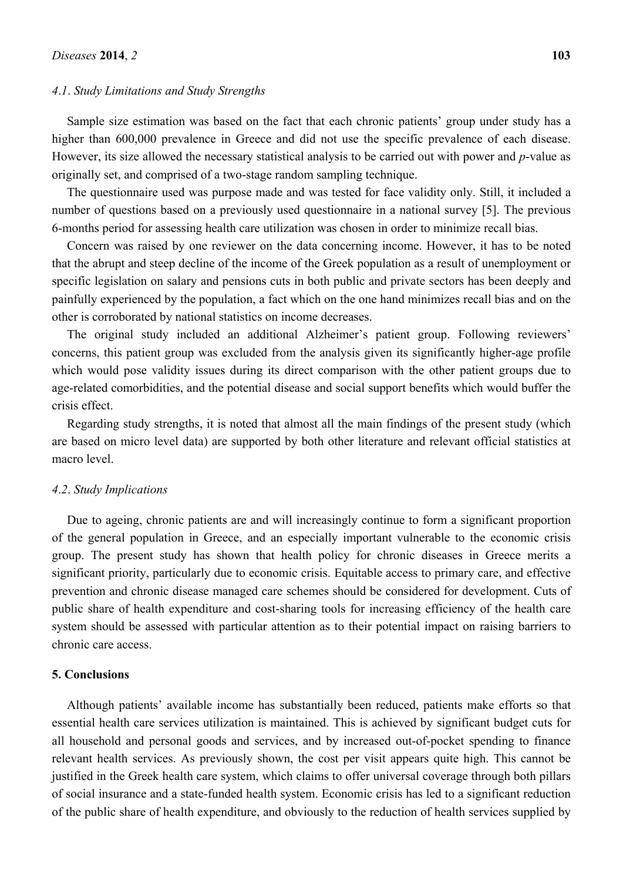# *4*.*1*. *Study Limitations and Study Strengths*

Sample size estimation was based on the fact that each chronic patients' group under study has a higher than 600,000 prevalence in Greece and did not use the specific prevalence of each disease. However, its size allowed the necessary statistical analysis to be carried out with power and *p*-value as originally set, and comprised of a two-stage random sampling technique.

The questionnaire used was purpose made and was tested for face validity only. Still, it included a number of questions based on a previously used questionnaire in a national survey [5]. The previous 6-months period for assessing health care utilization was chosen in order to minimize recall bias.

Concern was raised by one reviewer on the data concerning income. However, it has to be noted that the abrupt and steep decline of the income of the Greek population as a result of unemployment or specific legislation on salary and pensions cuts in both public and private sectors has been deeply and painfully experienced by the population, a fact which on the one hand minimizes recall bias and on the other is corroborated by national statistics on income decreases.

The original study included an additional Alzheimer's patient group. Following reviewers' concerns, this patient group was excluded from the analysis given its significantly higher-age profile which would pose validity issues during its direct comparison with the other patient groups due to age-related comorbidities, and the potential disease and social support benefits which would buffer the crisis effect.

Regarding study strengths, it is noted that almost all the main findings of the present study (which are based on micro level data) are supported by both other literature and relevant official statistics at macro level.

#### *4*.*2*. *Study Implications*

Due to ageing, chronic patients are and will increasingly continue to form a significant proportion of the general population in Greece, and an especially important vulnerable to the economic crisis group. The present study has shown that health policy for chronic diseases in Greece merits a significant priority, particularly due to economic crisis. Equitable access to primary care, and effective prevention and chronic disease managed care schemes should be considered for development. Cuts of public share of health expenditure and cost-sharing tools for increasing efficiency of the health care system should be assessed with particular attention as to their potential impact on raising barriers to chronic care access.

#### **5. Conclusions**

Although patients' available income has substantially been reduced, patients make efforts so that essential health care services utilization is maintained. This is achieved by significant budget cuts for all household and personal goods and services, and by increased out-of-pocket spending to finance relevant health services. As previously shown, the cost per visit appears quite high. This cannot be justified in the Greek health care system, which claims to offer universal coverage through both pillars of social insurance and a state-funded health system. Economic crisis has led to a significant reduction of the public share of health expenditure, and obviously to the reduction of health services supplied by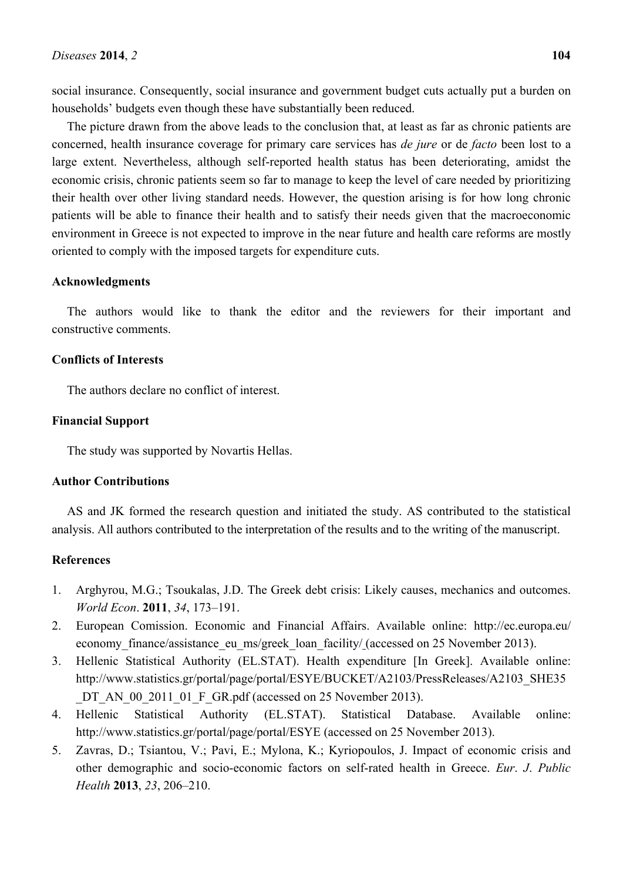social insurance. Consequently, social insurance and government budget cuts actually put a burden on households' budgets even though these have substantially been reduced.

The picture drawn from the above leads to the conclusion that, at least as far as chronic patients are concerned, health insurance coverage for primary care services has *de jure* or de *facto* been lost to a large extent. Nevertheless, although self-reported health status has been deteriorating, amidst the economic crisis, chronic patients seem so far to manage to keep the level of care needed by prioritizing their health over other living standard needs. However, the question arising is for how long chronic patients will be able to finance their health and to satisfy their needs given that the macroeconomic environment in Greece is not expected to improve in the near future and health care reforms are mostly oriented to comply with the imposed targets for expenditure cuts.

# **Acknowledgments**

The authors would like to thank the editor and the reviewers for their important and constructive comments.

# **Conflicts of Interests**

The authors declare no conflict of interest.

# **Financial Support**

The study was supported by Novartis Hellas.

#### **Author Contributions**

AS and JK formed the research question and initiated the study. AS contributed to the statistical analysis. All authors contributed to the interpretation of the results and to the writing of the manuscript.

# **References**

- 1. Arghyrou, M.G.; Tsoukalas, J.D. The Greek debt crisis: Likely causes, mechanics and outcomes. *World Econ*. **2011**, *34*, 173–191.
- 2. European Comission. Economic and Financial Affairs. Available online: http://ec.europa.eu/ economy finance/assistance eu ms/greek loan facility/ (accessed on 25 November 2013).
- 3. Hellenic Statistical Authority (EL.STAT). Health expenditure [In Greek]. Available online: http://www.statistics.gr/portal/page/portal/ESYE/BUCKET/A2103/PressReleases/A2103\_SHE35 DT\_AN\_00\_2011\_01\_F\_GR.pdf (accessed on 25 November 2013).
- 4. Hellenic Statistical Authority (EL.STAT). Statistical Database. Available online: http://www.statistics.gr/portal/page/portal/ESYE (accessed on 25 November 2013).
- 5. Zavras, D.; Tsiantou, V.; Pavi, E.; Mylona, K.; Kyriopoulos, J. Impact of economic crisis and other demographic and socio-economic factors on self-rated health in Greece. *Eur*. *J*. *Public Health* **2013**, *23*, 206–210.